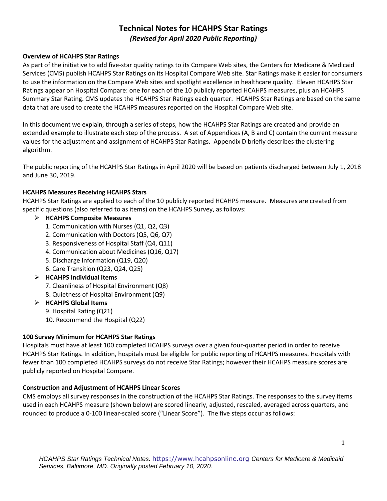# **Technical Notes for HCAHPS Star Ratings** *(Revised for April 2020 Public Reporting)*

## **Overview of HCAHPS Star Ratings**

As part of the initiative to add five-star quality ratings to its Compare Web sites, the Centers for Medicare & Medicaid Services (CMS) publish HCAHPS Star Ratings on its Hospital Compare Web site. Star Ratings make it easier for consumers to use the information on the Compare Web sites and spotlight excellence in healthcare quality. Eleven HCAHPS Star Ratings appear on Hospital Compare: one for each of the 10 publicly reported HCAHPS measures, plus an HCAHPS Summary Star Rating. CMS updates the HCAHPS Star Ratings each quarter. HCAHPS Star Ratings are based on the same data that are used to create the HCAHPS measures reported on the Hospital Compare Web site.

In this document we explain, through a series of steps, how the HCAHPS Star Ratings are created and provide an extended example to illustrate each step of the process. A set of Appendices (A, B and C) contain the current measure values for the adjustment and assignment of HCAHPS Star Ratings. Appendix D briefly describes the clustering algorithm.

The public reporting of the HCAHPS Star Ratings in April 2020 will be based on patients discharged between July 1, 2018 and June 30, 2019.

## **HCAHPS Measures Receiving HCAHPS Stars**

HCAHPS Star Ratings are applied to each of the 10 publicly reported HCAHPS measure. Measures are created from specific questions (also referred to as items) on the HCAHPS Survey, as follows:

## ➢ **HCAHPS Composite Measures**

- 1. Communication with Nurses (Q1, Q2, Q3)
- 2. Communication with Doctors (Q5, Q6, Q7)
- 3. Responsiveness of Hospital Staff (Q4, Q11)
- 4. Communication about Medicines (Q16, Q17)
- 5. Discharge Information (Q19, Q20)
- 6. Care Transition (Q23, Q24, Q25)

## ➢ **HCAHPS Individual Items**

- 7. Cleanliness of Hospital Environment (Q8)
- 8. Quietness of Hospital Environment (Q9)
- ➢ **HCAHPS Global Items** 
	- 9. Hospital Rating (Q21)
	- 10. Recommend the Hospital (Q22)

#### **100 Survey Minimum for HCAHPS Star Ratings**

Hospitals must have at least 100 completed HCAHPS surveys over a given four-quarter period in order to receive HCAHPS Star Ratings. In addition, hospitals must be eligible for public reporting of HCAHPS measures. Hospitals with fewer than 100 completed HCAHPS surveys do not receive Star Ratings; however their HCAHPS measure scores are publicly reported on Hospital Compare.

#### **Construction and Adjustment of HCAHPS Linear Scores**

CMS employs all survey responses in the construction of the HCAHPS Star Ratings. The responses to the survey items used in each HCAHPS measure (shown below) are scored linearly, adjusted, rescaled, averaged across quarters, and rounded to produce a 0-100 linear-scaled score ("Linear Score"). The five steps occur as follows: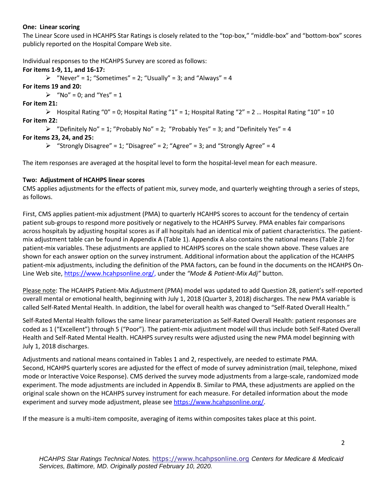#### **One: Linear scoring**

The Linear Score used in HCAHPS Star Ratings is closely related to the "top-box," "middle-box" and "bottom-box" scores publicly reported on the Hospital Compare Web site.

Individual responses to the HCAHPS Survey are scored as follows:

**For items 1-9, 11, and 16-17:**  $\triangleright$  "Never" = 1; "Sometimes" = 2; "Usually" = 3; and "Always" = 4 **For items 19 and 20:**  $\triangleright$  "No" = 0; and "Yes" = 1 **For item 21:**  $\triangleright$  Hospital Rating "0" = 0; Hospital Rating "1" = 1; Hospital Rating "2" = 2 ... Hospital Rating "10" = 10 **For item 22:**  $\triangleright$  "Definitely No" = 1; "Probably No" = 2; "Probably Yes" = 3; and "Definitely Yes" = 4 **For items 23, 24, and 25:**  $\triangleright$  "Strongly Disagree" = 1; "Disagree" = 2; "Agree" = 3; and "Strongly Agree" = 4

The item responses are averaged at the hospital level to form the hospital-level mean for each measure.

## **Two: Adjustment of HCAHPS linear scores**

CMS applies adjustments for the effects of patient mix, survey mode, and quarterly weighting through a series of steps, as follows.

First, CMS applies patient-mix adjustment (PMA) to quarterly HCAHPS scores to account for the tendency of certain patient sub-groups to respond more positively or negatively to the HCAHPS Survey. PMA enables fair comparisons across hospitals by adjusting hospital scores as if all hospitals had an identical mix of patient characteristics. The patientmix adjustment table can be found in Appendix A (Table 1). Appendix A also contains the national means (Table 2) for patient-mix variables. These adjustments are applied to HCAHPS scores on the scale shown above. These values are shown for each answer option on the survey instrument. Additional information about the application of the HCAHPS patient-mix adjustments, including the definition of the PMA factors, can be found in the documents on the HCAHPS On-Line Web site[, https://www.hcahpsonline.org/,](https://www.hcahpsonline.org/) under the *"Mode & Patient-Mix Adj"* button.

Please note: The HCAHPS Patient-Mix Adjustment (PMA) model was updated to add Question 28, patient's self-reported overall mental or emotional health, beginning with July 1, 2018 (Quarter 3, 2018) discharges. The new PMA variable is called Self-Rated Mental Health. In addition, the label for overall health was changed to "Self-Rated Overall Health."

Self-Rated Mental Health follows the same linear parameterization as Self-Rated Overall Health: patient responses are coded as 1 ("Excellent") through 5 ("Poor"). The patient-mix adjustment model will thus include both Self-Rated Overall Health and Self-Rated Mental Health. HCAHPS survey results were adjusted using the new PMA model beginning with July 1, 2018 discharges.

Adjustments and national means contained in Tables 1 and 2, respectively, are needed to estimate PMA. Second, HCAHPS quarterly scores are adjusted for the effect of mode of survey administration (mail, telephone, mixed mode or Interactive Voice Response). CMS derived the survey mode adjustments from a large-scale, randomized mode experiment. The mode adjustments are included in Appendix B. Similar to PMA, these adjustments are applied on the original scale shown on the HCAHPS survey instrument for each measure. For detailed information about the mode experiment and survey mode adjustment, please see [https://www.hcahpsonline.org/.](https://www.hcahpsonline.org/)

If the measure is a multi-item composite, averaging of items within composites takes place at this point.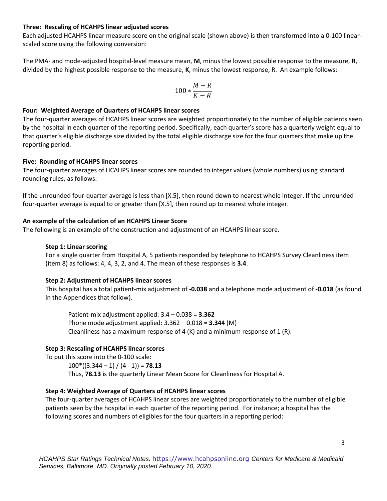#### **Three: Rescaling of HCAHPS linear adjusted scores**

Each adjusted HCAHPS linear measure score on the original scale (shown above) is then transformed into a 0-100 linearscaled score using the following conversion:

The PMA- and mode-adjusted hospital-level measure mean, **M**, minus the lowest possible response to the measure, **R**, divided by the highest possible response to the measure, **K**, minus the lowest response, R. An example follows:

$$
100*\frac{M-R}{K-R}
$$

#### **Four: Weighted Average of Quarters of HCAHPS linear scores**

The four-quarter averages of HCAHPS linear scores are weighted proportionately to the number of eligible patients seen by the hospital in each quarter of the reporting period. Specifically, each quarter's score has a quarterly weight equal to that quarter's eligible discharge size divided by the total eligible discharge size for the four quarters that make up the reporting period.

#### **Five: Rounding of HCAHPS linear scores**

The four-quarter averages of HCAHPS linear scores are rounded to integer values (whole numbers) using standard rounding rules, as follows:

If the unrounded four-quarter average is less than [X.5], then round down to nearest whole integer. If the unrounded four-quarter average is equal to or greater than [X.5], then round up to nearest whole integer.

#### **An example of the calculation of an HCAHPS Linear Score**

The following is an example of the construction and adjustment of an HCAHPS linear score.

#### **Step 1: Linear scoring**

For a single quarter from Hospital A, 5 patients responded by telephone to HCAHPS Survey Cleanliness item (item 8) as follows: 4, 4, 3, 2, and 4. The mean of these responses is **3.4**.

#### **Step 2: Adjustment of HCAHPS linear scores**

This hospital has a total patient-mix adjustment of **-0.038** and a telephone mode adjustment of **-0.018** (as found in the Appendices that follow).

Patient-mix adjustment applied: 3.4 – 0.038 = **3.362** Phone mode adjustment applied: 3.362 – 0.018 = **3.344** (M) Cleanliness has a maximum response of 4 (K) and a minimum response of 1 (R).

#### **Step 3: Rescaling of HCAHPS linear scores**

To put this score into the 0-100 scale:  $100^*$ ((3.344 – 1) / (4 - 1)) = **78.13** 

Thus, **78.13** is the quarterly Linear Mean Score for Cleanliness for Hospital A.

#### **Step 4: Weighted Average of Quarters of HCAHPS linear scores**

The four-quarter averages of HCAHPS linear scores are weighted proportionately to the number of eligible patients seen by the hospital in each quarter of the reporting period. For instance; a hospital has the following scores and numbers of eligibles for the four quarters in a reporting period: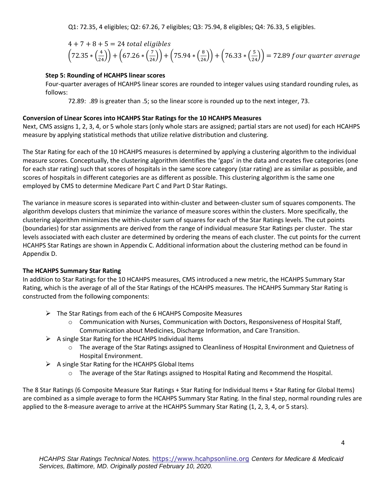Q1: 72.35, 4 eligibles; Q2: 67.26, 7 eligibles; Q3: 75.94, 8 eligibles; Q4: 76.33, 5 eligibles.

$$
4 + 7 + 8 + 5 = 24
$$
 total eligibles  
\n $(72.35 * (\frac{4}{24})) + (67.26 * (\frac{7}{24})) + (75.94 * (\frac{8}{24})) + (76.33 * (\frac{5}{24})) = 72.89$  four quarter average

## **Step 5: Rounding of HCAHPS linear scores**

Four-quarter averages of HCAHPS linear scores are rounded to integer values using standard rounding rules, as follows:

72.89: .89 is greater than .5; so the linear score is rounded up to the next integer, 73.

## **Conversion of Linear Scores into HCAHPS Star Ratings for the 10 HCAHPS Measures**

Next, CMS assigns 1, 2, 3, 4, or 5 whole stars (only whole stars are assigned; partial stars are not used) for each HCAHPS measure by applying statistical methods that utilize relative distribution and clustering.

The Star Rating for each of the 10 HCAHPS measures is determined by applying a clustering algorithm to the individual measure scores. Conceptually, the clustering algorithm identifies the 'gaps' in the data and creates five categories (one for each star rating) such that scores of hospitals in the same score category (star rating) are as similar as possible, and scores of hospitals in different categories are as different as possible. This clustering algorithm is the same one employed by CMS to determine Medicare Part C and Part D Star Ratings.

The variance in measure scores is separated into within-cluster and between-cluster sum of squares components. The algorithm develops clusters that minimize the variance of measure scores within the clusters. More specifically, the clustering algorithm minimizes the within-cluster sum of squares for each of the Star Ratings levels. The cut points (boundaries) for star assignments are derived from the range of individual measure Star Ratings per cluster. The star levels associated with each cluster are determined by ordering the means of each cluster. The cut points for the current HCAHPS Star Ratings are shown in Appendix C. Additional information about the clustering method can be found in Appendix D.

## **The HCAHPS Summary Star Rating**

In addition to Star Ratings for the 10 HCAHPS measures, CMS introduced a new metric, the HCAHPS Summary Star Rating, which is the average of all of the Star Ratings of the HCAHPS measures. The HCAHPS Summary Star Rating is constructed from the following components:

- ➢ The Star Ratings from each of the 6 HCAHPS Composite Measures
	- $\circ$  Communication with Nurses, Communication with Doctors, Responsiveness of Hospital Staff, Communication about Medicines, Discharge Information, and Care Transition.
- $\triangleright$  A single Star Rating for the HCAHPS Individual Items
	- o The average of the Star Ratings assigned to Cleanliness of Hospital Environment and Quietness of Hospital Environment.
- $\triangleright$  A single Star Rating for the HCAHPS Global Items
	- o The average of the Star Ratings assigned to Hospital Rating and Recommend the Hospital.

The 8 Star Ratings (6 Composite Measure Star Ratings + Star Rating for Individual Items + Star Rating for Global Items) are combined as a simple average to form the HCAHPS Summary Star Rating. In the final step, normal rounding rules are applied to the 8-measure average to arrive at the HCAHPS Summary Star Rating (1, 2, 3, 4, or 5 stars).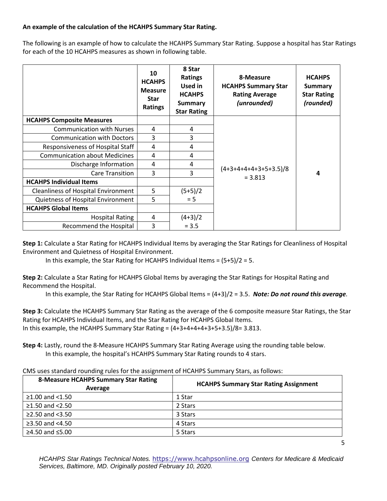## **An example of the calculation of the HCAHPS Summary Star Rating.**

The following is an example of how to calculate the HCAHPS Summary Star Rating. Suppose a hospital has Star Ratings for each of the 10 HCAHPS measures as shown in following table.

|                                            | 10<br><b>HCAHPS</b><br><b>Measure</b><br><b>Star</b><br><b>Ratings</b> | 8 Star<br><b>Ratings</b><br>Used in<br><b>HCAHPS</b><br><b>Summary</b><br><b>Star Rating</b> | 8-Measure<br><b>HCAHPS Summary Star</b><br><b>Rating Average</b><br>(unrounded) | <b>HCAHPS</b><br><b>Summary</b><br><b>Star Rating</b><br>(rounded) |  |
|--------------------------------------------|------------------------------------------------------------------------|----------------------------------------------------------------------------------------------|---------------------------------------------------------------------------------|--------------------------------------------------------------------|--|
| <b>HCAHPS Composite Measures</b>           |                                                                        |                                                                                              |                                                                                 |                                                                    |  |
| <b>Communication with Nurses</b>           | 4                                                                      | 4                                                                                            |                                                                                 | 4                                                                  |  |
| <b>Communication with Doctors</b>          | 3                                                                      | 3                                                                                            |                                                                                 |                                                                    |  |
| Responsiveness of Hospital Staff           | 4                                                                      | 4                                                                                            |                                                                                 |                                                                    |  |
| <b>Communication about Medicines</b>       | 4                                                                      | 4                                                                                            |                                                                                 |                                                                    |  |
| Discharge Information                      | 4                                                                      | 4                                                                                            |                                                                                 |                                                                    |  |
| <b>Care Transition</b>                     | 3                                                                      | 3                                                                                            | $(4+3+4+4+4+3+5+3.5)/8$<br>$= 3.813$                                            |                                                                    |  |
| <b>HCAHPS Individual Items</b>             |                                                                        |                                                                                              |                                                                                 |                                                                    |  |
| <b>Cleanliness of Hospital Environment</b> | 5                                                                      | $(5+5)/2$                                                                                    |                                                                                 |                                                                    |  |
| Quietness of Hospital Environment          | 5                                                                      | $= 5$                                                                                        |                                                                                 |                                                                    |  |
| <b>HCAHPS Global Items</b>                 |                                                                        |                                                                                              |                                                                                 |                                                                    |  |
| <b>Hospital Rating</b>                     | 4                                                                      | $(4+3)/2$                                                                                    |                                                                                 |                                                                    |  |
| <b>Recommend the Hospital</b>              | 3                                                                      | $= 3.5$                                                                                      |                                                                                 |                                                                    |  |

**Step 1:** Calculate a Star Rating for HCAHPS Individual Items by averaging the Star Ratings for Cleanliness of Hospital Environment and Quietness of Hospital Environment.

In this example, the Star Rating for HCAHPS Individual Items = (5+5)/2 = 5.

**Step 2:** Calculate a Star Rating for HCAHPS Global Items by averaging the Star Ratings for Hospital Rating and Recommend the Hospital.

In this example, the Star Rating for HCAHPS Global Items = (4+3)/2 = 3.5. *Note: Do not round this average.*

**Step 3:** Calculate the HCAHPS Summary Star Rating as the average of the 6 composite measure Star Ratings, the Star Rating for HCAHPS Individual Items, and the Star Rating for HCAHPS Global Items. In this example, the HCAHPS Summary Star Rating =  $(4+3+4+4+3+5+3.5)/8=3.813$ .

**Step 4:** Lastly, round the 8-Measure HCAHPS Summary Star Rating Average using the rounding table below. In this example, the hospital's HCAHPS Summary Star Rating rounds to 4 stars.

| CMS uses standard rounding rules for the assignment of HCAHPS Summary Stars, as follows: |
|------------------------------------------------------------------------------------------|
|------------------------------------------------------------------------------------------|

| <b>8-Measure HCAHPS Summary Star Rating</b><br>Average | <b>HCAHPS Summary Star Rating Assignment</b> |  |  |
|--------------------------------------------------------|----------------------------------------------|--|--|
| $≥1.00$ and <1.50                                      | 1 Star                                       |  |  |
| $≥1.50$ and $<2.50$                                    | 2 Stars                                      |  |  |
| ≥2.50 and $<3.50$                                      | 3 Stars                                      |  |  |
| ≥3.50 and $<4.50$                                      | 4 Stars                                      |  |  |
| $≥4.50$ and ≤5.00                                      | 5 Stars                                      |  |  |

*HCAHPS Star Ratings Technical Notes.* [https://www.hcahpsonline.org](https://www.hcahpsonline.org/) *Centers for Medicare & Medicaid Services, Baltimore, MD. Originally posted February 10, 2020.*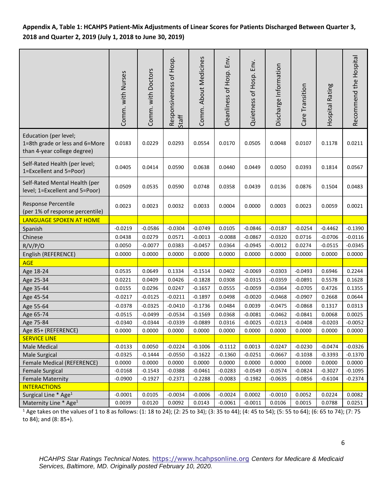**Appendix A, Table 1: HCAHPS Patient-Mix Adjustments of Linear Scores for Patients Discharged Between Quarter 3, 2018 and Quarter 2, 2019 (July 1, 2018 to June 30, 2019)** 

|                                                                                        | Comm. with Nurses | Comm. with Doctors | Responsiveness of Hosp.<br>Staff | Comm. About Medicines | Cleanliness of Hosp. Env. | Quietness of Hosp. Env. | Discharge Information | Care Transition | Hospital Rating | Recommend the Hospital |
|----------------------------------------------------------------------------------------|-------------------|--------------------|----------------------------------|-----------------------|---------------------------|-------------------------|-----------------------|-----------------|-----------------|------------------------|
| Education (per level;<br>1=8th grade or less and 6=More<br>than 4-year college degree) | 0.0183            | 0.0229             | 0.0293                           | 0.0554                | 0.0170                    | 0.0505                  | 0.0048                | 0.0107          | 0.1178          | 0.0211                 |
| Self-Rated Health (per level;<br>1=Excellent and 5=Poor)                               | 0.0405            | 0.0414             | 0.0590                           | 0.0638                | 0.0440                    | 0.0449                  | 0.0050                | 0.0393          | 0.1814          | 0.0567                 |
| Self-Rated Mental Health (per<br>level; 1=Excellent and 5=Poor)                        | 0.0509            | 0.0535             | 0.0590                           | 0.0748                | 0.0358                    | 0.0439                  | 0.0136                | 0.0876          | 0.1504          | 0.0483                 |
| Response Percentile<br>(per 1% of response percentile)                                 | 0.0023            | 0.0023             | 0.0032                           | 0.0033                | 0.0004                    | 0.0000                  | 0.0003                | 0.0023          | 0.0059          | 0.0021                 |
| <b>LANGUAGE SPOKEN AT HOME</b>                                                         |                   |                    |                                  |                       |                           |                         |                       |                 |                 |                        |
| Spanish                                                                                | $-0.0219$         | $-0.0586$          | $-0.0304$                        | $-0.0749$             | 0.0105                    | $-0.0846$               | $-0.0187$             | $-0.0254$       | $-0.4462$       | $-0.1390$              |
| Chinese                                                                                | 0.0438            | 0.0279             | 0.0571                           | $-0.0013$             | $-0.0088$                 | $-0.0867$               | $-0.0320$             | 0.0716          | $-0.0706$       | $-0.0116$              |
| R/V/P/O                                                                                | 0.0050            | $-0.0077$          | 0.0383                           | $-0.0457$             | 0.0364                    | $-0.0945$               | $-0.0012$             | 0.0274          | $-0.0515$       | $-0.0345$              |
| English (REFERENCE)                                                                    | 0.0000            | 0.0000             | 0.0000                           | 0.0000                | 0.0000                    | 0.0000                  | 0.0000                | 0.0000          | 0.0000          | 0.0000                 |
| <b>AGE</b>                                                                             |                   |                    |                                  |                       |                           |                         |                       |                 |                 |                        |
| Age 18-24                                                                              | 0.0535            | 0.0649             | 0.1334                           | $-0.1514$             | 0.0402                    | $-0.0069$               | $-0.0303$             | $-0.0493$       | 0.6946          | 0.2244                 |
| Age 25-34                                                                              | 0.0221            | 0.0409             | 0.0426                           | $-0.1828$             | 0.0308                    | $-0.0315$               | $-0.0359$             | $-0.0891$       | 0.5578          | 0.1628                 |
| Age 35-44                                                                              | 0.0155            | 0.0296             | 0.0247                           | $-0.1657$             | 0.0555                    | $-0.0059$               | $-0.0364$             | $-0.0705$       | 0.4726          | 0.1355                 |
| Age 45-54                                                                              | $-0.0217$         | $-0.0125$          | $-0.0211$                        | $-0.1897$             | 0.0498                    | $-0.0020$               | $-0.0468$             | $-0.0907$       | 0.2668          | 0.0644                 |
| Age 55-64                                                                              | $-0.0378$         | $-0.0325$          | $-0.0410$                        | $-0.1736$             | 0.0484                    | 0.0039                  | $-0.0475$             | $-0.0868$       | 0.1317          | 0.0313                 |
| Age 65-74                                                                              | $-0.0515$         | $-0.0499$          | $-0.0534$                        | $-0.1569$             | 0.0368                    | $-0.0081$               | $-0.0462$             | $-0.0841$       | 0.0068          | 0.0025                 |
| Age 75-84                                                                              | $-0.0340$         | $-0.0344$          | $-0.0339$                        | $-0.0889$             | 0.0316                    | $-0.0025$               | $-0.0213$             | $-0.0408$       | $-0.0203$       | $-0.0052$              |
| Age 85+ (REFERENCE)                                                                    | 0.0000            | 0.0000             | 0.0000                           | 0.0000                | 0.0000                    | 0.0000                  | 0.0000                | 0.0000          | 0.0000          | 0.0000                 |
| <b>SERVICE LINE</b>                                                                    |                   |                    |                                  |                       |                           |                         |                       |                 |                 |                        |
| Male Medical                                                                           | $-0.0133$         | 0.0050             | $-0.0224$                        | $-0.1006$             | $-0.1112$                 | 0.0013                  | $-0.0247$             | $-0.0230$       | $-0.0474$       | $-0.0326$              |
| <b>Male Surgical</b>                                                                   | $-0.0325$         | $-0.1444$          | $-0.0550$                        | $-0.1622$             | $-0.1360$                 | $-0.0251$               | $-0.0667$             | $-0.1038$       | $-0.3393$       | $-0.1370$              |
| Female Medical (REFERENCE)                                                             | 0.0000            | 0.0000             | 0.0000                           | 0.0000                | 0.0000                    | 0.0000                  | 0.0000                | 0.0000          | 0.0000          | 0.0000                 |
| <b>Female Surgical</b>                                                                 | $-0.0168$         | $-0.1543$          | $-0.0388$                        | $-0.0461$             | $-0.0283$                 | $-0.0549$               | $-0.0574$             | $-0.0824$       | $-0.3027$       | $-0.1095$              |
| <b>Female Maternity</b>                                                                | $-0.0900$         | $-0.1927$          | $-0.2371$                        | $-0.2288$             | $-0.0083$                 | $-0.1982$               | $-0.0635$             | $-0.0856$       | $-0.6104$       | $-0.2374$              |
| <b>INTERACTIONS</b>                                                                    |                   |                    |                                  |                       |                           |                         |                       |                 |                 |                        |
| Surgical Line * Age <sup>1</sup>                                                       | $-0.0001$         | 0.0105             | $-0.0034$                        | $-0.0006$             | $-0.0024$                 | 0.0002                  | $-0.0010$             | 0.0052          | 0.0224          | 0.0082                 |
| Maternity Line * Age <sup>1</sup>                                                      | 0.0039            | 0.0120             | 0.0092                           | 0.0143                | $-0.0061$                 | $-0.0011$               | 0.0106                | 0.0015          | 0.0788          | 0.0251                 |

<sup>1</sup> Age takes on the values of 1 to 8 as follows: (1: 18 to 24); (2: 25 to 34); (3: 35 to 44); (4: 45 to 54); (5: 55 to 64); (6: 65 to 74); (7: 75 to 84); and (8: 85+).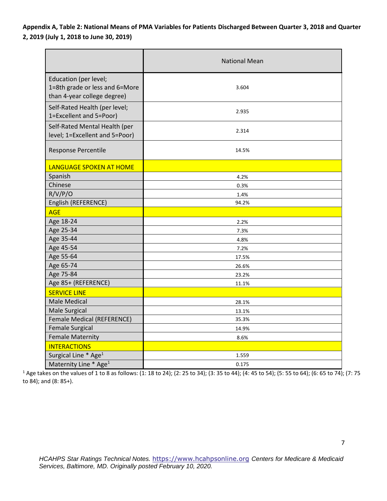**Appendix A, Table 2: National Means of PMA Variables for Patients Discharged Between Quarter 3, 2018 and Quarter 2, 2019 (July 1, 2018 to June 30, 2019)** 

|                                                                                        | <b>National Mean</b> |  |  |  |
|----------------------------------------------------------------------------------------|----------------------|--|--|--|
| Education (per level;<br>1=8th grade or less and 6=More<br>than 4-year college degree) | 3.604                |  |  |  |
| Self-Rated Health (per level;<br>1=Excellent and 5=Poor)                               | 2.935                |  |  |  |
| Self-Rated Mental Health (per<br>level; 1=Excellent and 5=Poor)                        | 2.314                |  |  |  |
| Response Percentile                                                                    | 14.5%                |  |  |  |
| <b>LANGUAGE SPOKEN AT HOME</b>                                                         |                      |  |  |  |
| Spanish                                                                                | 4.2%                 |  |  |  |
| Chinese                                                                                | 0.3%                 |  |  |  |
| R/V/P/O                                                                                | 1.4%                 |  |  |  |
| English (REFERENCE)                                                                    | 94.2%                |  |  |  |
| <b>AGE</b>                                                                             |                      |  |  |  |
| Age 18-24                                                                              | 2.2%                 |  |  |  |
| Age 25-34                                                                              | 7.3%                 |  |  |  |
| Age 35-44                                                                              | 4.8%                 |  |  |  |
| Age 45-54                                                                              | 7.2%                 |  |  |  |
| Age 55-64                                                                              | 17.5%                |  |  |  |
| Age 65-74                                                                              | 26.6%                |  |  |  |
| Age 75-84                                                                              | 23.2%                |  |  |  |
| Age 85+ (REFERENCE)                                                                    | 11.1%                |  |  |  |
| <b>SERVICE LINE</b>                                                                    |                      |  |  |  |
| <b>Male Medical</b>                                                                    | 28.1%                |  |  |  |
| Male Surgical                                                                          | 13.1%                |  |  |  |
| Female Medical (REFERENCE)                                                             | 35.3%                |  |  |  |
| <b>Female Surgical</b>                                                                 | 14.9%                |  |  |  |
| <b>Female Maternity</b>                                                                | 8.6%                 |  |  |  |
| <b>INTERACTIONS</b>                                                                    |                      |  |  |  |
| Surgical Line * Age <sup>1</sup>                                                       | 1.559                |  |  |  |
| Maternity Line * Age <sup>1</sup>                                                      | 0.175                |  |  |  |

<sup>1</sup> Age takes on the values of 1 to 8 as follows: (1: 18 to 24); (2: 25 to 34); (3: 35 to 44); (4: 45 to 54); (5: 55 to 64); (6: 65 to 74); (7: 75 to 84); and (8: 85+).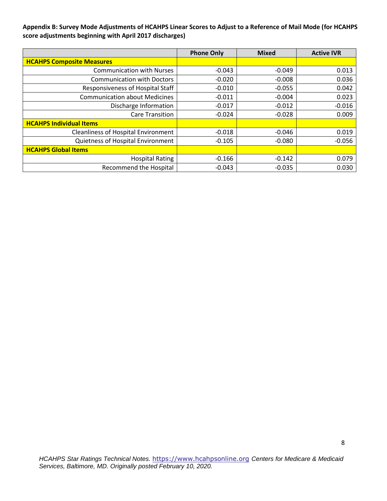**Appendix B: Survey Mode Adjustments of HCAHPS Linear Scores to Adjust to a Reference of Mail Mode (for HCAHPS score adjustments beginning with April 2017 discharges)**

|                                            | <b>Phone Only</b> | <b>Mixed</b> | <b>Active IVR</b> |
|--------------------------------------------|-------------------|--------------|-------------------|
| <b>HCAHPS Composite Measures</b>           |                   |              |                   |
| <b>Communication with Nurses</b>           | $-0.043$          | $-0.049$     | 0.013             |
| <b>Communication with Doctors</b>          | $-0.020$          | $-0.008$     | 0.036             |
| Responsiveness of Hospital Staff           | $-0.010$          | $-0.055$     | 0.042             |
| <b>Communication about Medicines</b>       | $-0.011$          | $-0.004$     | 0.023             |
| Discharge Information                      | $-0.017$          | $-0.012$     | $-0.016$          |
| <b>Care Transition</b>                     | $-0.024$          | $-0.028$     | 0.009             |
| <b>HCAHPS Individual Items</b>             |                   |              |                   |
| <b>Cleanliness of Hospital Environment</b> | $-0.018$          | $-0.046$     | 0.019             |
| Quietness of Hospital Environment          | $-0.105$          | $-0.080$     | $-0.056$          |
| <b>HCAHPS Global Items</b>                 |                   |              |                   |
| <b>Hospital Rating</b>                     | $-0.166$          | $-0.142$     | 0.079             |
| <b>Recommend the Hospital</b>              | $-0.043$          | $-0.035$     | 0.030             |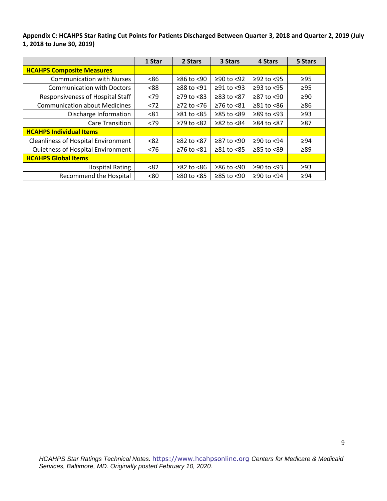**Appendix C: HCAHPS Star Rating Cut Points for Patients Discharged Between Quarter 3, 2018 and Quarter 2, 2019 (July 1, 2018 to June 30, 2019)**

|                                            | 1 Star | 2 Stars                | 3 Stars          | 4 Stars                | 5 Stars   |
|--------------------------------------------|--------|------------------------|------------------|------------------------|-----------|
| <b>HCAHPS Composite Measures</b>           |        |                        |                  |                        |           |
| <b>Communication with Nurses</b>           | <86    | $≥86$ to <90           | $≥90$ to <92     | $≥92$ to $<95$         | $\geq$ 95 |
| <b>Communication with Doctors</b>          | < 88   | ≥88 to <91             | $≥91$ to <93     | $≥93$ to $<95$         | $\geq$ 95 |
| Responsiveness of Hospital Staff           | <79    | $\geq$ 79 to <83       | $\geq$ 83 to <87 | $≥87$ to $≤90$         | $\geq 90$ |
| <b>Communication about Medicines</b>       | < 72   | $≥72$ to $≤76$         | $\geq$ 76 to <81 | $\geq 81$ to $\leq 86$ | $\geq 86$ |
| Discharge Information                      | < 81   | $\geq 81$ to $\leq 85$ | $\geq$ 85 to <89 | $≥89$ to $≤93$         | $\geq$ 93 |
| <b>Care Transition</b>                     | <79    | $≥79$ to $≤82$         | $≥82$ to $≤84$   | ≥84 to <87             | $\geq 87$ |
| <b>HCAHPS Individual Items</b>             |        |                        |                  |                        |           |
| <b>Cleanliness of Hospital Environment</b> | < 82   | ≥82 to <87             | ≥87 to <90       | $≥90$ to $<94$         | $\geq$ 94 |
| Quietness of Hospital Environment          | < 76   | $≥76$ to $≤81$         | $\geq 81$ to <85 | $≥85$ to $<89$         | $\geq 89$ |
| <b>HCAHPS Global Items</b>                 |        |                        |                  |                        |           |
| <b>Hospital Rating</b>                     | < 82   | $\geq$ 82 to <86       | $≥86$ to <90     | ≥90 to <93             | $\geq$ 93 |
| <b>Recommend the Hospital</b>              | <80    | $\geq$ 80 to <85       | $\geq$ 85 to <90 | ≥90 to <94             | $\geq$ 94 |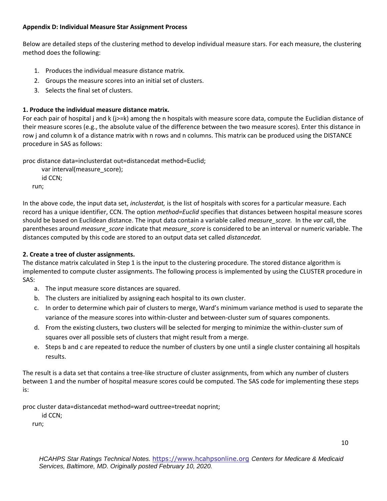## **Appendix D: Individual Measure Star Assignment Process**

Below are detailed steps of the clustering method to develop individual measure stars. For each measure, the clustering method does the following:

- 1. Produces the individual measure distance matrix.
- 2. Groups the measure scores into an initial set of clusters.
- 3. Selects the final set of clusters.

## **1. Produce the individual measure distance matrix.**

For each pair of hospital j and k (j>=k) among the n hospitals with measure score data, compute the Euclidian distance of their measure scores (e.g., the absolute value of the difference between the two measure scores). Enter this distance in row j and column k of a distance matrix with n rows and n columns. This matrix can be produced using the DISTANCE procedure in SAS as follows:

proc distance data=inclusterdat out=distancedat method=Euclid;

 var interval(measure\_score); id CCN; run;

In the above code, the input data set, *inclusterdat,* is the list of hospitals with scores for a particular measure. Each record has a unique identifier, CCN. The option *method=Euclid* specifies that distances between hospital measure scores should be based on Euclidean distance. The input data contain a variable called *measure\_score.* In the *var* call, the parentheses around *measure\_score* indicate that *measure\_score* is considered to be an interval or numeric variable. The distances computed by this code are stored to an output data set called *distancedat.*

## **2. Create a tree of cluster assignments.**

The distance matrix calculated in Step 1 is the input to the clustering procedure. The stored distance algorithm is implemented to compute cluster assignments. The following process is implemented by using the CLUSTER procedure in SAS:

- a. The input measure score distances are squared.
- b. The clusters are initialized by assigning each hospital to its own cluster.
- c. In order to determine which pair of clusters to merge, Ward's minimum variance method is used to separate the variance of the measure scores into within-cluster and between-cluster sum of squares components.
- d. From the existing clusters, two clusters will be selected for merging to minimize the within-cluster sum of squares over all possible sets of clusters that might result from a merge.
- e. Steps b and c are repeated to reduce the number of clusters by one until a single cluster containing all hospitals results.

The result is a data set that contains a tree-like structure of cluster assignments, from which any number of clusters between 1 and the number of hospital measure scores could be computed. The SAS code for implementing these steps is:

proc cluster data=distancedat method=ward outtree=treedat noprint;

id CCN;

run;